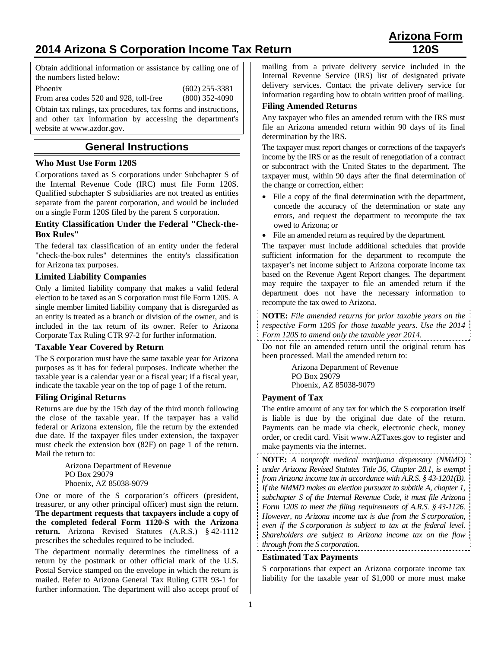# **2014 Arizona S Corporation Income Tax Return 120S**

Obtain additional information or assistance by calling one of the numbers listed below:

Phoenix (602) 255-3381

From area codes 520 and 928, toll-free (800) 352-4090

Obtain tax rulings, tax procedures, tax forms and instructions, and other tax information by accessing the department's website at www.azdor.gov.

## **General Instructions**

## **Who Must Use Form 120S**

Corporations taxed as S corporations under Subchapter S of the Internal Revenue Code (IRC) must file Form 120S. Qualified subchapter S subsidiaries are not treated as entities separate from the parent corporation, and would be included on a single Form 120S filed by the parent S corporation.

#### **Entity Classification Under the Federal "Check-the-Box Rules"**

The federal tax classification of an entity under the federal "check-the-box rules" determines the entity's classification for Arizona tax purposes.

#### **Limited Liability Companies**

Only a limited liability company that makes a valid federal election to be taxed as an S corporation must file Form 120S. A single member limited liability company that is disregarded as an entity is treated as a branch or division of the owner, and is included in the tax return of its owner. Refer to Arizona Corporate Tax Ruling CTR 97-2 for further information.

#### **Taxable Year Covered by Return**

The S corporation must have the same taxable year for Arizona purposes as it has for federal purposes. Indicate whether the taxable year is a calendar year or a fiscal year; if a fiscal year, indicate the taxable year on the top of page 1 of the return.

#### **Filing Original Returns**

Returns are due by the 15th day of the third month following the close of the taxable year. If the taxpayer has a valid federal or Arizona extension, file the return by the extended due date. If the taxpayer files under extension, the taxpayer must check the extension box (82F) on page 1 of the return. Mail the return to:

> Arizona Department of Revenue PO Box 29079 Phoenix, AZ 85038-9079

One or more of the S corporation's officers (president, treasurer, or any other principal officer) must sign the return. **The department requests that taxpayers include a copy of the completed federal Form 1120-S with the Arizona return.** Arizona Revised Statutes (A.R.S.) § 42-1112 prescribes the schedules required to be included.

The department normally determines the timeliness of a return by the postmark or other official mark of the U.S. Postal Service stamped on the envelope in which the return is mailed. Refer to Arizona General Tax Ruling GTR 93-1 for further information. The department will also accept proof of

mailing from a private delivery service included in the Internal Revenue Service (IRS) list of designated private delivery services. Contact the private delivery service for information regarding how to obtain written proof of mailing.

#### **Filing Amended Returns**

Any taxpayer who files an amended return with the IRS must file an Arizona amended return within 90 days of its final determination by the IRS.

The taxpayer must report changes or corrections of the taxpayer's income by the IRS or as the result of renegotiation of a contract or subcontract with the United States to the department. The taxpayer must, within 90 days after the final determination of the change or correction, either:

- File a copy of the final determination with the department, concede the accuracy of the determination or state any errors, and request the department to recompute the tax owed to Arizona; or
- File an amended return as required by the department.

The taxpayer must include additional schedules that provide sufficient information for the department to recompute the taxpayer's net income subject to Arizona corporate income tax based on the Revenue Agent Report changes. The department may require the taxpayer to file an amended return if the department does not have the necessary information to recompute the tax owed to Arizona.

**NOTE:** *File amended returns for prior taxable years on the respective Form 120S for those taxable years. Use the 2014 Form 120S to amend only the taxable year 2014.*

Do not file an amended return until the original return has been processed. Mail the amended return to:

> Arizona Department of Revenue PO Box 29079 Phoenix, AZ 85038-9079

#### **Payment of Tax**

The entire amount of any tax for which the S corporation itself is liable is due by the original due date of the return. Payments can be made via check, electronic check, money order, or credit card. Visit www.AZTaxes.gov to register and make payments via the internet.

**NOTE:** *A nonprofit medical marijuana dispensary (NMMD) under Arizona Revised Statutes Title 36, Chapter 28.1, is exempt from Arizona income tax in accordance with A.R.S. § 43-1201(B). If the NMMD makes an election pursuant to subtitle A, chapter 1, subchapter S of the Internal Revenue Code, it must file Arizona Form 120S to meet the filing requirements of A.R.S. § 43-1126. However, no Arizona income tax is due from the S corporation, even if the S corporation is subject to tax at the federal level. Shareholders are subject to Arizona income tax on the flow through from the S corporation.*

## **Estimated Tax Payments**

S corporations that expect an Arizona corporate income tax liability for the taxable year of \$1,000 or more must make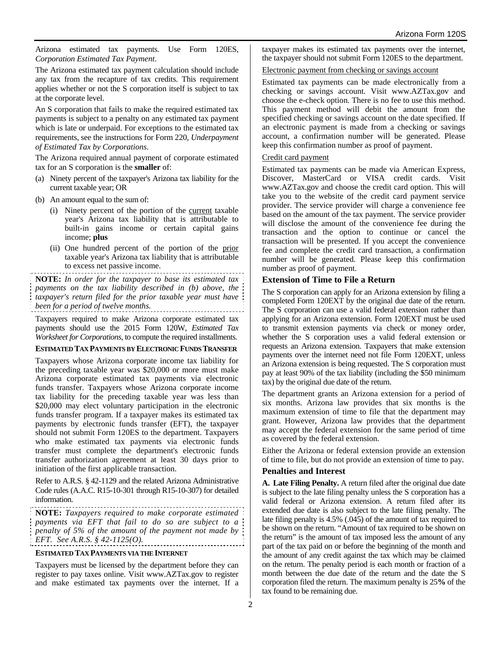Arizona estimated tax payments. Use Form 120ES, *Corporation Estimated Tax Payment*.

The Arizona estimated tax payment calculation should include any tax from the recapture of tax credits. This requirement applies whether or not the S corporation itself is subject to tax at the corporate level.

An S corporation that fails to make the required estimated tax payments is subject to a penalty on any estimated tax payment which is late or underpaid. For exceptions to the estimated tax requirements, see the instructions for Form 220, *Underpayment of Estimated Tax by Corporations*.

The Arizona required annual payment of corporate estimated tax for an S corporation is the **smaller** of:

- (a) Ninety percent of the taxpayer's Arizona tax liability for the current taxable year; OR
- (b) An amount equal to the sum of:
	- (i) Ninety percent of the portion of the current taxable year's Arizona tax liability that is attributable to built-in gains income or certain capital gains income; **plus**
	- (ii) One hundred percent of the portion of the prior taxable year's Arizona tax liability that is attributable to excess net passive income.

**NOTE:** *In order for the taxpayer to base its estimated tax payments on the tax liability described in (b) above, the taxpayer's return filed for the prior taxable year must have been for a period of twelve months.*

Taxpayers required to make Arizona corporate estimated tax payments should use the 2015 Form 120W, *Estimated Tax Worksheet for Corporations*, to compute the required installments.

#### **ESTIMATED TAX PAYMENTS BY ELECTRONIC FUNDS TRANSFER**

Taxpayers whose Arizona corporate income tax liability for the preceding taxable year was \$20,000 or more must make Arizona corporate estimated tax payments via electronic funds transfer. Taxpayers whose Arizona corporate income tax liability for the preceding taxable year was less than \$20,000 may elect voluntary participation in the electronic funds transfer program. If a taxpayer makes its estimated tax payments by electronic funds transfer (EFT), the taxpayer should not submit Form 120ES to the department. Taxpayers who make estimated tax payments via electronic funds transfer must complete the department's electronic funds transfer authorization agreement at least 30 days prior to initiation of the first applicable transaction.

Refer to A.R.S. § 42-1129 and the related Arizona Administrative Code rules (A.A.C. R15-10-301 through R15-10-307) for detailed information.

**NOTE:** *Taxpayers required to make corporate estimated payments via EFT that fail to do so are subject to a penalty of 5% of the amount of the payment not made by EFT. See A.R.S. § 42-1125(O).* 

#### **ESTIMATED TAX PAYMENTS VIA THE INTERNET**

Taxpayers must be licensed by the department before they can register to pay taxes online. Visit www.AZTax.gov to register and make estimated tax payments over the internet. If a taxpayer makes its estimated tax payments over the internet, the taxpayer should not submit Form 120ES to the department.

#### Electronic payment from checking or savings account

Estimated tax payments can be made electronically from a checking or savings account. Visit www.AZTax.gov and choose the e-check option. There is no fee to use this method. This payment method will debit the amount from the specified checking or savings account on the date specified. If an electronic payment is made from a checking or savings account, a confirmation number will be generated. Please keep this confirmation number as proof of payment.

#### Credit card payment

Estimated tax payments can be made via American Express, Discover, MasterCard or VISA credit cards. Visit www.AZTax.gov and choose the credit card option. This will take you to the website of the credit card payment service provider. The service provider will charge a convenience fee based on the amount of the tax payment. The service provider will disclose the amount of the convenience fee during the transaction and the option to continue or cancel the transaction will be presented. If you accept the convenience fee and complete the credit card transaction, a confirmation number will be generated. Please keep this confirmation number as proof of payment.

#### **Extension of Time to File a Return**

The S corporation can apply for an Arizona extension by filing a completed Form 120EXT by the original due date of the return. The S corporation can use a valid federal extension rather than applying for an Arizona extension. Form 120EXT must be used to transmit extension payments via check or money order, whether the S corporation uses a valid federal extension or requests an Arizona extension. Taxpayers that make extension payments over the internet need not file Form 120EXT, unless an Arizona extension is being requested. The S corporation must pay at least 90% of the tax liability (including the \$50 minimum tax) by the original due date of the return.

The department grants an Arizona extension for a period of six months. Arizona law provides that six months is the maximum extension of time to file that the department may grant. However, Arizona law provides that the department may accept the federal extension for the same period of time as covered by the federal extension.

Either the Arizona or federal extension provide an extension of time to file, but do not provide an extension of time to pay.

#### **Penalties and Interest**

**A. Late Filing Penalty.** A return filed after the original due date is subject to the late filing penalty unless the S corporation has a valid federal or Arizona extension. A return filed after its extended due date is also subject to the late filing penalty. The late filing penalty is 4.5% (.045) of the amount of tax required to be shown on the return. "Amount of tax required to be shown on the return" is the amount of tax imposed less the amount of any part of the tax paid on or before the beginning of the month and the amount of any credit against the tax which may be claimed on the return. The penalty period is each month or fraction of a month between the due date of the return and the date the S corporation filed the return. The maximum penalty is 25**%** of the tax found to be remaining due.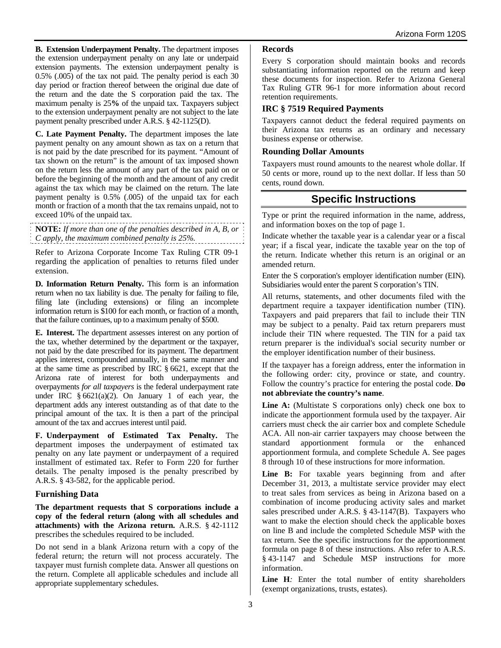**B. Extension Underpayment Penalty.** The department imposes the extension underpayment penalty on any late or underpaid extension payments. The extension underpayment penalty is 0.5% (.005) of the tax not paid. The penalty period is each 30 day period or fraction thereof between the original due date of the return and the date the S corporation paid the tax. The maximum penalty is 25**%** of the unpaid tax. Taxpayers subject to the extension underpayment penalty are not subject to the late payment penalty prescribed under A.R.S. § 42-1125(D).

**C. Late Payment Penalty.** The department imposes the late payment penalty on any amount shown as tax on a return that is not paid by the date prescribed for its payment. "Amount of tax shown on the return" is the amount of tax imposed shown on the return less the amount of any part of the tax paid on or before the beginning of the month and the amount of any credit against the tax which may be claimed on the return. The late payment penalty is 0.5% (.005) of the unpaid tax for each month or fraction of a month that the tax remains unpaid, not to exceed 10% of the unpaid tax.

**NOTE:** *If more than one of the penalties described in A, B, or C apply, the maximum combined penalty is 25%.*

Refer to Arizona Corporate Income Tax Ruling CTR 09-1 regarding the application of penalties to returns filed under extension.

**D. Information Return Penalty.** This form is an information return when no tax liability is due. The penalty for failing to file, filing late (including extensions) or filing an incomplete information return is \$100 for each month, or fraction of a month, that the failure continues, up to a maximum penalty of \$500.

**E. Interest.** The department assesses interest on any portion of the tax, whether determined by the department or the taxpayer, not paid by the date prescribed for its payment. The department applies interest, compounded annually, in the same manner and at the same time as prescribed by IRC § 6621, except that the Arizona rate of interest for both underpayments and overpayments *for all taxpayers* is the federal underpayment rate under IRC  $§ 6621(a)(2)$ . On January 1 of each year, the department adds any interest outstanding as of that date to the principal amount of the tax. It is then a part of the principal amount of the tax and accrues interest until paid.

**F. Underpayment of Estimated Tax Penalty.** The department imposes the underpayment of estimated tax penalty on any late payment or underpayment of a required installment of estimated tax. Refer to Form 220 for further details. The penalty imposed is the penalty prescribed by A.R.S. § 43-582, for the applicable period.

## **Furnishing Data**

**The department requests that S corporations include a copy of the federal return (along with all schedules and attachments) with the Arizona return.** A.R.S. § 42-1112 prescribes the schedules required to be included.

Do not send in a blank Arizona return with a copy of the federal return; the return will not process accurately. The taxpayer must furnish complete data. Answer all questions on the return. Complete all applicable schedules and include all appropriate supplementary schedules.

## **Records**

Every S corporation should maintain books and records substantiating information reported on the return and keep these documents for inspection. Refer to Arizona General Tax Ruling GTR 96-1 for more information about record retention requirements.

## **IRC § 7519 Required Payments**

Taxpayers cannot deduct the federal required payments on their Arizona tax returns as an ordinary and necessary business expense or otherwise.

## **Rounding Dollar Amounts**

Taxpayers must round amounts to the nearest whole dollar. If 50 cents or more, round up to the next dollar. If less than 50 cents, round down.

# **Specific Instructions**

Type or print the required information in the name, address, and information boxes on the top of page 1.

Indicate whether the taxable year is a calendar year or a fiscal year; if a fiscal year, indicate the taxable year on the top of the return. Indicate whether this return is an original or an amended return.

Enter the S corporation's employer identification number (EIN). Subsidiaries would enter the parent S corporation's TIN.

All returns, statements, and other documents filed with the department require a taxpayer identification number (TIN). Taxpayers and paid preparers that fail to include their TIN may be subject to a penalty. Paid tax return preparers must include their TIN where requested. The TIN for a paid tax return preparer is the individual's social security number or the employer identification number of their business.

If the taxpayer has a foreign address, enter the information in the following order: city, province or state, and country. Follow the country's practice for entering the postal code. **Do not abbreviate the country's name**.

**Line A:** (Multistate S corporations only) check one box to indicate the apportionment formula used by the taxpayer. Air carriers must check the air carrier box and complete Schedule ACA. All non-air carrier taxpayers may choose between the standard apportionment formula or the enhanced apportionment formula, and complete Schedule A. See pages 8 through 10 of these instructions for more information.

Line B: For taxable years beginning from and after December 31, 2013, a multistate service provider may elect to treat sales from services as being in Arizona based on a combination of income producing activity sales and market sales prescribed under A.R.S. § 43-1147(B). Taxpayers who want to make the election should check the applicable boxes on line B and include the completed Schedule MSP with the tax return. See the specific instructions for the apportionment formula on page 8 of these instructions. Also refer to A.R.S. § 43-1147 and Schedule MSP instructions for more information.

Line H: Enter the total number of entity shareholders (exempt organizations, trusts, estates).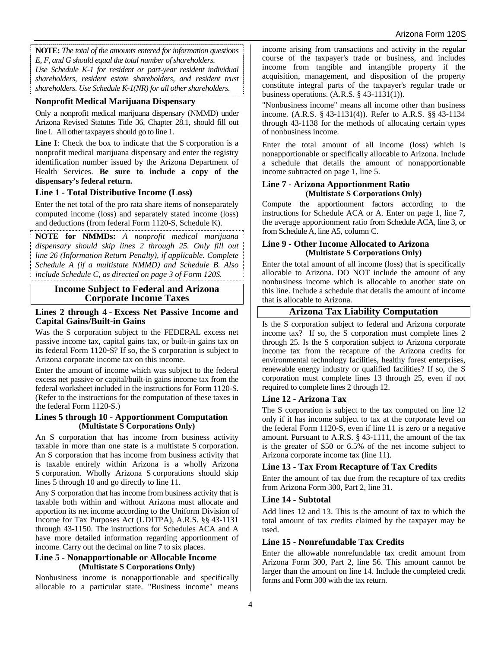**NOTE:** *The total of the amounts entered for information questions E, F, and G should equal the total number of shareholders. Use Schedule K-1 for resident or part-year resident individual shareholders, resident estate shareholders, and resident trust shareholders. Use Schedule K-1(NR) for all other shareholders.*

### **Nonprofit Medical Marijuana Dispensary**

Only a nonprofit medical marijuana dispensary (NMMD) under Arizona Revised Statutes Title 36, Chapter 28.1, should fill out line I. All other taxpayers should go to line 1.

**Line I**: Check the box to indicate that the S corporation is a nonprofit medical marijuana dispensary and enter the registry identification number issued by the Arizona Department of Health Services. **Be sure to include a copy of the dispensary's federal return.**

#### **Line 1 - Total Distributive Income (Loss)**

Enter the net total of the pro rata share items of nonseparately computed income (loss) and separately stated income (loss) and deductions (from federal Form 1120-S, Schedule K).

**NOTE for NMMDs:** *A nonprofit medical marijuana dispensary should skip lines 2 through 25. Only fill out line 26 (Information Return Penalty), if applicable. Complete Schedule A (if a multistate NMMD) and Schedule B. Also include Schedule C, as directed on page 3 of Form 120S.*

### **Income Subject to Federal and Arizona Corporate Income Taxes**

#### **Lines 2 through 4 - Excess Net Passive Income and Capital Gains/Built-in Gains**

Was the S corporation subject to the FEDERAL excess net passive income tax, capital gains tax, or built-in gains tax on its federal Form 1120-S? If so, the S corporation is subject to Arizona corporate income tax on this income.

Enter the amount of income which was subject to the federal excess net passive or capital/built-in gains income tax from the federal worksheet included in the instructions for Form 1120-S. (Refer to the instructions for the computation of these taxes in the federal Form 1120-S.)

#### **Lines 5 through 10 - Apportionment Computation (Multistate S Corporations Only)**

An S corporation that has income from business activity taxable in more than one state is a multistate S corporation. An S corporation that has income from business activity that is taxable entirely within Arizona is a wholly Arizona S corporation. Wholly Arizona S corporations should skip lines 5 through 10 and go directly to line 11.

Any S corporation that has income from business activity that is taxable both within and without Arizona must allocate and apportion its net income according to the Uniform Division of Income for Tax Purposes Act (UDITPA), A.R.S. §§ 43-1131 through 43-1150. The instructions for Schedules ACA and A have more detailed information regarding apportionment of income. Carry out the decimal on line 7 to six places.

#### **Line 5 - Nonapportionable or Allocable Income (Multistate S Corporations Only)**

Nonbusiness income is nonapportionable and specifically allocable to a particular state. "Business income" means income arising from transactions and activity in the regular course of the taxpayer's trade or business, and includes income from tangible and intangible property if the acquisition, management, and disposition of the property constitute integral parts of the taxpayer's regular trade or business operations. (A.R.S. § 43-1131(1)).

"Nonbusiness income" means all income other than business income. (A.R.S. § 43-1131(4)). Refer to A.R.S. §§ 43-1134 through 43-1138 for the methods of allocating certain types of nonbusiness income.

Enter the total amount of all income (loss) which is nonapportionable or specifically allocable to Arizona. Include a schedule that details the amount of nonapportionable income subtracted on page 1, line 5.

#### **Line 7 - Arizona Apportionment Ratio (Multistate S Corporations Only)**

Compute the apportionment factors according to the instructions for Schedule ACA or A. Enter on page 1, line 7, the average apportionment ratio from Schedule ACA, line 3, or from Schedule A, line A5, column C.

#### **Line 9 - Other Income Allocated to Arizona (Multistate S Corporations Only)**

Enter the total amount of all income (loss) that is specifically allocable to Arizona. DO NOT include the amount of any nonbusiness income which is allocable to another state on this line. Include a schedule that details the amount of income that is allocable to Arizona.

## **Arizona Tax Liability Computation**

Is the S corporation subject to federal and Arizona corporate income tax? If so, the S corporation must complete lines 2 through 25. Is the S corporation subject to Arizona corporate income tax from the recapture of the Arizona credits for environmental technology facilities, healthy forest enterprises, renewable energy industry or qualified facilities? If so, the S corporation must complete lines 13 through 25, even if not required to complete lines 2 through 12.

#### **Line 12 - Arizona Tax**

The S corporation is subject to the tax computed on line 12 only if it has income subject to tax at the corporate level on the federal Form 1120-S, even if line 11 is zero or a negative amount. Pursuant to A.R.S. § 43-1111, the amount of the tax is the greater of \$50 or 6.5% of the net income subject to Arizona corporate income tax (line 11).

## **Line 13 - Tax From Recapture of Tax Credits**

Enter the amount of tax due from the recapture of tax credits from Arizona Form 300, Part 2, line 31.

#### **Line 14 - Subtotal**

Add lines 12 and 13. This is the amount of tax to which the total amount of tax credits claimed by the taxpayer may be used.

#### **Line 15 - Nonrefundable Tax Credits**

Enter the allowable nonrefundable tax credit amount from Arizona Form 300, Part 2, line 56. This amount cannot be larger than the amount on line 14. Include the completed credit forms and Form 300 with the tax return.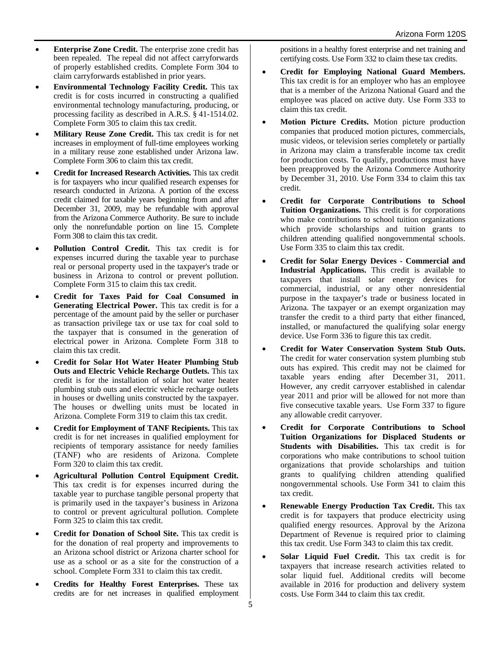- **Enterprise Zone Credit.** The enterprise zone credit has been repealed. The repeal did not affect carryforwards of properly established credits. Complete Form 304 to claim carryforwards established in prior years.
- **Environmental Technology Facility Credit.** This tax credit is for costs incurred in constructing a qualified environmental technology manufacturing, producing, or processing facility as described in A.R.S. § 41-1514.02. Complete Form 305 to claim this tax credit.
- **Military Reuse Zone Credit.** This tax credit is for net increases in employment of full-time employees working in a military reuse zone established under Arizona law. Complete Form 306 to claim this tax credit.
- **Credit for Increased Research Activities.** This tax credit is for taxpayers who incur qualified research expenses for research conducted in Arizona. A portion of the excess credit claimed for taxable years beginning from and after December 31, 2009, may be refundable with approval from the Arizona Commerce Authority. Be sure to include only the nonrefundable portion on line 15. Complete Form 308 to claim this tax credit.
- **Pollution Control Credit.** This tax credit is for expenses incurred during the taxable year to purchase real or personal property used in the taxpayer's trade or business in Arizona to control or prevent pollution. Complete Form 315 to claim this tax credit.
- **Credit for Taxes Paid for Coal Consumed in Generating Electrical Power.** This tax credit is for a percentage of the amount paid by the seller or purchaser as transaction privilege tax or use tax for coal sold to the taxpayer that is consumed in the generation of electrical power in Arizona. Complete Form 318 to claim this tax credit.
- **Credit for Solar Hot Water Heater Plumbing Stub Outs and Electric Vehicle Recharge Outlets.** This tax credit is for the installation of solar hot water heater plumbing stub outs and electric vehicle recharge outlets in houses or dwelling units constructed by the taxpayer. The houses or dwelling units must be located in Arizona. Complete Form 319 to claim this tax credit.
- **Credit for Employment of TANF Recipients.** This tax credit is for net increases in qualified employment for recipients of temporary assistance for needy families (TANF) who are residents of Arizona. Complete Form 320 to claim this tax credit.
- **Agricultural Pollution Control Equipment Credit.** This tax credit is for expenses incurred during the taxable year to purchase tangible personal property that is primarily used in the taxpayer's business in Arizona to control or prevent agricultural pollution. Complete Form 325 to claim this tax credit.
- **Credit for Donation of School Site.** This tax credit is for the donation of real property and improvements to an Arizona school district or Arizona charter school for use as a school or as a site for the construction of a school. Complete Form 331 to claim this tax credit.
- **Credits for Healthy Forest Enterprises.** These tax credits are for net increases in qualified employment

positions in a healthy forest enterprise and net training and certifying costs. Use Form 332 to claim these tax credits.

- **Credit for Employing National Guard Members.**  This tax credit is for an employer who has an employee that is a member of the Arizona National Guard and the employee was placed on active duty. Use Form 333 to claim this tax credit.
- **Motion Picture Credits.** Motion picture production companies that produced motion pictures, commercials, music videos, or television series completely or partially in Arizona may claim a transferable income tax credit for production costs. To qualify, productions must have been preapproved by the Arizona Commerce Authority by December 31, 2010. Use Form 334 to claim this tax credit.
- **Credit for Corporate Contributions to School Tuition Organizations.** This credit is for corporations who make contributions to school tuition organizations which provide scholarships and tuition grants to children attending qualified nongovernmental schools. Use Form 335 to claim this tax credit.
- **Credit for Solar Energy Devices Commercial and Industrial Applications.** This credit is available to taxpayers that install solar energy devices for commercial, industrial, or any other nonresidential purpose in the taxpayer's trade or business located in Arizona. The taxpayer or an exempt organization may transfer the credit to a third party that either financed, installed, or manufactured the qualifying solar energy device. Use Form 336 to figure this tax credit.
- **Credit for Water Conservation System Stub Outs.** The credit for water conservation system plumbing stub outs has expired. This credit may not be claimed for taxable years ending after December 31, 2011. However, any credit carryover established in calendar year 2011 and prior will be allowed for not more than five consecutive taxable years. Use Form 337 to figure any allowable credit carryover.
- **Credit for Corporate Contributions to School Tuition Organizations for Displaced Students or Students with Disabilities.** This tax credit is for corporations who make contributions to school tuition organizations that provide scholarships and tuition grants to qualifying children attending qualified nongovernmental schools. Use Form 341 to claim this tax credit.
- **Renewable Energy Production Tax Credit.** This tax credit is for taxpayers that produce electricity using qualified energy resources. Approval by the Arizona Department of Revenue is required prior to claiming this tax credit. Use Form 343 to claim this tax credit.
- **Solar Liquid Fuel Credit.** This tax credit is for taxpayers that increase research activities related to solar liquid fuel. Additional credits will become available in 2016 for production and delivery system costs. Use Form 344 to claim this tax credit.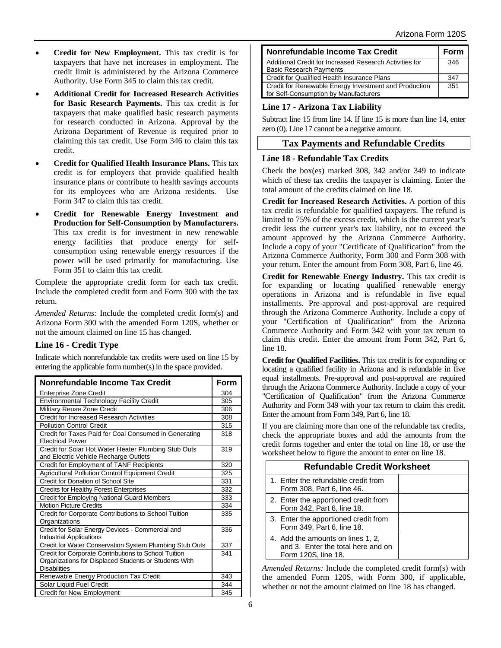- **Credit for New Employment.** This tax credit is for taxpayers that have net increases in employment. The credit limit is administered by the Arizona Commerce Authority. Use Form 345 to claim this tax credit.
- **Additional Credit for Increased Research Activities for Basic Research Payments.** This tax credit is for taxpayers that make qualified basic research payments for research conducted in Arizona. Approval by the Arizona Department of Revenue is required prior to claiming this tax credit. Use Form 346 to claim this tax credit.
- **Credit for Qualified Health Insurance Plans.** This tax credit is for employers that provide qualified health insurance plans or contribute to health savings accounts for its employees who are Arizona residents. Use Form 347 to claim this tax credit.
- **Credit for Renewable Energy Investment and Production for Self-Consumption by Manufacturers.** This tax credit is for investment in new renewable energy facilities that produce energy for selfconsumption using renewable energy resources if the power will be used primarily for manufacturing. Use Form 351 to claim this tax credit.

Complete the appropriate credit form for each tax credit. Include the completed credit form and Form 300 with the tax return.

*Amended Returns:* Include the completed credit form(s) and Arizona Form 300 with the amended Form 120S, whether or not the amount claimed on line 15 has changed.

## **Line 16 - Credit Type**

Indicate which nonrefundable tax credits were used on line 15 by entering the applicable form number(s) in the space provided.

| Nonrefundable Income Tax Credit                                                                                                      |     |  |  |  |
|--------------------------------------------------------------------------------------------------------------------------------------|-----|--|--|--|
| <b>Enterprise Zone Credit</b>                                                                                                        | 304 |  |  |  |
| <b>Environmental Technology Facility Credit</b>                                                                                      | 305 |  |  |  |
| Military Reuse Zone Credit                                                                                                           |     |  |  |  |
| Credit for Increased Research Activities                                                                                             | 308 |  |  |  |
| <b>Pollution Control Credit</b>                                                                                                      | 315 |  |  |  |
| Credit for Taxes Paid for Coal Consumed in Generating<br><b>Electrical Power</b>                                                     | 318 |  |  |  |
| Credit for Solar Hot Water Heater Plumbing Stub Outs<br>and Electric Vehicle Recharge Outlets                                        | 319 |  |  |  |
| Credit for Employment of TANF Recipients                                                                                             | 320 |  |  |  |
| Agricultural Pollution Control Equipment Credit                                                                                      | 325 |  |  |  |
| Credit for Donation of School Site                                                                                                   | 331 |  |  |  |
| <b>Credits for Healthy Forest Enterprises</b>                                                                                        | 332 |  |  |  |
| <b>Credit for Employing National Guard Members</b>                                                                                   | 333 |  |  |  |
| <b>Motion Picture Credits</b>                                                                                                        | 334 |  |  |  |
| Credit for Corporate Contributions to School Tuition<br>Organizations                                                                | 335 |  |  |  |
| Credit for Solar Energy Devices - Commercial and<br><b>Industrial Applications</b>                                                   | 336 |  |  |  |
| Credit for Water Conservation System Plumbing Stub Outs                                                                              | 337 |  |  |  |
| Credit for Corporate Contributions to School Tuition<br>Organizations for Displaced Students or Students With<br><b>Disabilities</b> | 341 |  |  |  |
| Renewable Energy Production Tax Credit                                                                                               | 343 |  |  |  |
| Solar Liquid Fuel Credit                                                                                                             | 344 |  |  |  |
| <b>Credit for New Employment</b>                                                                                                     | 345 |  |  |  |

| Nonrefundable Income Tax Credit                         |     |  |  |
|---------------------------------------------------------|-----|--|--|
| Additional Credit for Increased Research Activities for | 346 |  |  |
| <b>Basic Research Payments</b>                          |     |  |  |
| Credit for Qualified Health Insurance Plans             | 347 |  |  |
| Credit for Renewable Energy Investment and Production   | 351 |  |  |
| for Self-Consumption by Manufacturers                   |     |  |  |

## **Line 17 - Arizona Tax Liability**

Subtract line 15 from line 14. If line 15 is more than line 14, enter zero (0). Line 17 cannot be a negative amount.

## **Tax Payments and Refundable Credits**

## **Line 18 - Refundable Tax Credits**

Check the box(es) marked 308, 342 and/or 349 to indicate which of these tax credits the taxpayer is claiming. Enter the total amount of the credits claimed on line 18.

**Credit for Increased Research Activities.** A portion of this tax credit is refundable for qualified taxpayers. The refund is limited to 75% of the excess credit, which is the current year's credit less the current year's tax liability, not to exceed the amount approved by the Arizona Commerce Authority. Include a copy of your "Certificate of Qualification" from the Arizona Commerce Authority, Form 300 and Form 308 with your return. Enter the amount from Form 308, Part 6, line 46.

**Credit for Renewable Energy Industry.** This tax credit is for expanding or locating qualified renewable energy operations in Arizona and is refundable in five equal installments. Pre-approval and post-approval are required through the Arizona Commerce Authority. Include a copy of your "Certification of Qualification" from the Arizona Commerce Authority and Form 342 with your tax return to claim this credit. Enter the amount from Form 342, Part 6, line 18.

**Credit for Qualified Facilities.** This tax credit is for expanding or locating a qualified facility in Arizona and is refundable in five equal installments. Pre-approval and post-approval are required through the Arizona Commerce Authority. Include a copy of your "Certification of Qualification" from the Arizona Commerce Authority and Form 349 with your tax return to claim this credit. Enter the amount from Form 349, Part 6, line 18.

If you are claiming more than one of the refundable tax credits, check the appropriate boxes and add the amounts from the credit forms together and enter the total on line 18, or use the worksheet below to figure the amount to enter on line 18.

| <b>Refundable Credit Worksheet</b>                                                             |  |  |  |  |
|------------------------------------------------------------------------------------------------|--|--|--|--|
| 1. Enter the refundable credit from<br>Form 308, Part 6, line 46.                              |  |  |  |  |
| 2. Enter the apportioned credit from<br>Form 342, Part 6, line 18.                             |  |  |  |  |
| 3. Enter the apportioned credit from<br>Form 349, Part 6, line 18.                             |  |  |  |  |
| 4. Add the amounts on lines 1, 2,<br>and 3. Enter the total here and on<br>Form 120S, line 18. |  |  |  |  |

*Amended Returns:* Include the completed credit form(s) with the amended Form 120S, with Form 300, if applicable, whether or not the amount claimed on line 18 has changed.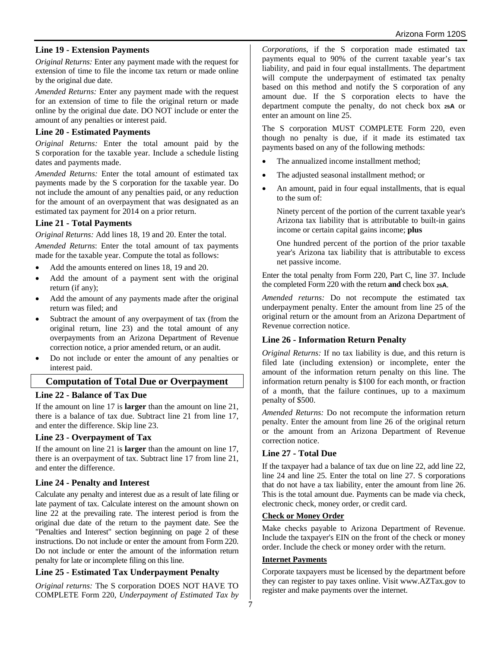## **Line 19 - Extension Payments**

*Original Returns:* Enter any payment made with the request for extension of time to file the income tax return or made online by the original due date.

*Amended Returns:* Enter any payment made with the request for an extension of time to file the original return or made online by the original due date. DO NOT include or enter the amount of any penalties or interest paid.

#### **Line 20 - Estimated Payments**

*Original Returns:* Enter the total amount paid by the S corporation for the taxable year. Include a schedule listing dates and payments made.

*Amended Returns:* Enter the total amount of estimated tax payments made by the S corporation for the taxable year. Do not include the amount of any penalties paid, or any reduction for the amount of an overpayment that was designated as an estimated tax payment for 2014 on a prior return.

## **Line 21 - Total Payments**

*Original Returns:* Add lines 18, 19 and 20. Enter the total. *Amended Returns*: Enter the total amount of tax payments made for the taxable year. Compute the total as follows:

- Add the amounts entered on lines 18, 19 and 20.
- Add the amount of a payment sent with the original return (if any);
- Add the amount of any payments made after the original return was filed; and
- Subtract the amount of any overpayment of tax (from the original return, line 23) and the total amount of any overpayments from an Arizona Department of Revenue correction notice, a prior amended return, or an audit.
- Do not include or enter the amount of any penalties or interest paid.

## **Computation of Total Due or Overpayment**

## **Line 22 - Balance of Tax Due**

If the amount on line 17 is **larger** than the amount on line 21, there is a balance of tax due. Subtract line 21 from line 17, and enter the difference. Skip line 23.

## **Line 23 - Overpayment of Tax**

If the amount on line 21 is **larger** than the amount on line 17, there is an overpayment of tax. Subtract line 17 from line 21, and enter the difference.

## **Line 24 - Penalty and Interest**

Calculate any penalty and interest due as a result of late filing or late payment of tax. Calculate interest on the amount shown on line 22 at the prevailing rate. The interest period is from the original due date of the return to the payment date. See the "Penalties and Interest" section beginning on page 2 of these instructions. Do not include or enter the amount from Form 220. Do not include or enter the amount of the information return penalty for late or incomplete filing on this line.

## **Line 25 - Estimated Tax Underpayment Penalty**

*Original returns:* The S corporation DOES NOT HAVE TO COMPLETE Form 220, *Underpayment of Estimated Tax by*  *Corporations*, if the S corporation made estimated tax payments equal to 90% of the current taxable year's tax liability, and paid in four equal installments. The department will compute the underpayment of estimated tax penalty based on this method and notify the S corporation of any amount due. If the S corporation elects to have the department compute the penalty, do not check box **25A** or enter an amount on line 25.

The S corporation MUST COMPLETE Form 220, even though no penalty is due, if it made its estimated tax payments based on any of the following methods:

- The annualized income installment method;
- The adjusted seasonal installment method; or
- An amount, paid in four equal installments, that is equal to the sum of:

Ninety percent of the portion of the current taxable year's Arizona tax liability that is attributable to built-in gains income or certain capital gains income; **plus**

One hundred percent of the portion of the prior taxable year's Arizona tax liability that is attributable to excess net passive income.

Enter the total penalty from Form 220, Part C, line 37. Include the completed Form 220 with the return **and** check box **25A**.

*Amended returns:* Do not recompute the estimated tax underpayment penalty. Enter the amount from line 25 of the original return or the amount from an Arizona Department of Revenue correction notice.

## **Line 26 - Information Return Penalty**

*Original Returns:* If no tax liability is due, and this return is filed late (including extension) or incomplete, enter the amount of the information return penalty on this line. The information return penalty is \$100 for each month, or fraction of a month, that the failure continues, up to a maximum penalty of \$500.

*Amended Returns:* Do not recompute the information return penalty. Enter the amount from line 26 of the original return or the amount from an Arizona Department of Revenue correction notice.

## **Line 27 - Total Due**

If the taxpayer had a balance of tax due on line 22, add line 22, line 24 and line 25. Enter the total on line 27. S corporations that do not have a tax liability, enter the amount from line 26. This is the total amount due. Payments can be made via check, electronic check, money order, or credit card.

#### **Check or Money Order**

Make checks payable to Arizona Department of Revenue. Include the taxpayer's EIN on the front of the check or money order. Include the check or money order with the return.

#### **Internet Payments**

Corporate taxpayers must be licensed by the department before they can register to pay taxes online. Visit www.AZTax.gov to register and make payments over the internet.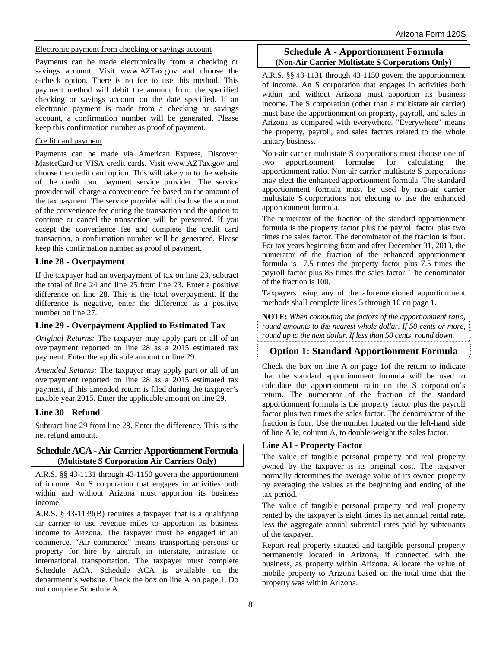#### Electronic payment from checking or savings account

Payments can be made electronically from a checking or savings account. Visit www.AZTax.gov and choose the e-check option. There is no fee to use this method. This payment method will debit the amount from the specified checking or savings account on the date specified. If an electronic payment is made from a checking or savings account, a confirmation number will be generated. Please keep this confirmation number as proof of payment.

#### Credit card payment

Payments can be made via American Express, Discover, MasterCard or VISA credit cards. Visit www.AZTax.gov and choose the credit card option. This will take you to the website of the credit card payment service provider. The service provider will charge a convenience fee based on the amount of the tax payment. The service provider will disclose the amount of the convenience fee during the transaction and the option to continue or cancel the transaction will be presented. If you accept the convenience fee and complete the credit card transaction, a confirmation number will be generated. Please keep this confirmation number as proof of payment.

## **Line 28 - Overpayment**

If the taxpayer had an overpayment of tax on line 23, subtract the total of line 24 and line 25 from line 23. Enter a positive difference on line 28. This is the total overpayment. If the difference is negative, enter the difference as a positive number on line 27.

## **Line 29 - Overpayment Applied to Estimated Tax**

*Original Returns:* The taxpayer may apply part or all of an overpayment reported on line 28 as a 2015 estimated tax payment. Enter the applicable amount on line 29.

*Amended Returns:* The taxpayer may apply part or all of an overpayment reported on line 28 as a 2015 estimated tax payment, if this amended return is filed during the taxpayer's taxable year 2015. Enter the applicable amount on line 29.

## **Line 30 - Refund**

Subtract line 29 from line 28. Enter the difference. This is the net refund amount.

## **Schedule ACA - Air Carrier Apportionment Formula (Multistate S Corporation Air Carriers Only)**

A.R.S. §§ 43-1131 through 43-1150 govern the apportionment of income. An S corporation that engages in activities both within and without Arizona must apportion its business income.

A.R.S. § 43-1139(B) requires a taxpayer that is a qualifying air carrier to use revenue miles to apportion its business income to Arizona. The taxpayer must be engaged in air commerce. "Air commerce" means transporting persons or property for hire by aircraft in interstate, intrastate or international transportation. The taxpayer must complete Schedule ACA. Schedule ACA is available on the department's website. Check the box on line A on page 1. Do not complete Schedule A.

### **Schedule A - Apportionment Formula (Non-Air Carrier Multistate S Corporations Only)**

A.R.S. §§ 43-1131 through 43-1150 govern the apportionment of income. An S corporation that engages in activities both within and without Arizona must apportion its business income. The S corporation (other than a multistate air carrier) must base the apportionment on property, payroll, and sales in Arizona as compared with everywhere. "Everywhere" means the property, payroll, and sales factors related to the whole unitary business.

Non-air carrier multistate S corporations must choose one of two apportionment formulae for calculating the apportionment ratio. Non-air carrier multistate S corporations may elect the enhanced apportionment formula. The standard apportionment formula must be used by non-air carrier multistate S corporations not electing to use the enhanced apportionment formula.

The numerator of the fraction of the standard apportionment formula is the property factor plus the payroll factor plus two times the sales factor. The denominator of the fraction is four. For tax years beginning from and after December 31, 2013, the numerator of the fraction of the enhanced apportionment formula is 7.5 times the property factor plus 7.5 times the payroll factor plus 85 times the sales factor. The denominator of the fraction is 100.

Taxpayers using any of the aforementioned apportionment methods shall complete lines 5 through 10 on page 1.

**NOTE:** *When computing the factors of the apportionment ratio, round amounts to the nearest whole dollar. If 50 cents or more, round up to the next dollar. If less than 50 cents, round down.*

## **Option 1: Standard Apportionment Formula**

Check the box on line A on page 1of the return to indicate that the standard apportionment formula will be used to calculate the apportionment ratio on the S corporation's return. The numerator of the fraction of the standard apportionment formula is the property factor plus the payroll factor plus two times the sales factor. The denominator of the fraction is four. Use the number located on the left-hand side of line A3e, column A, to double-weight the sales factor.

## **Line A1 - Property Factor**

The value of tangible personal property and real property owned by the taxpayer is its original cost. The taxpayer normally determines the average value of its owned property by averaging the values at the beginning and ending of the tax period.

The value of tangible personal property and real property rented by the taxpayer is eight times its net annual rental rate, less the aggregate annual subrental rates paid by subtenants of the taxpayer.

Report real property situated and tangible personal property permanently located in Arizona, if connected with the business, as property within Arizona. Allocate the value of mobile property to Arizona based on the total time that the property was within Arizona.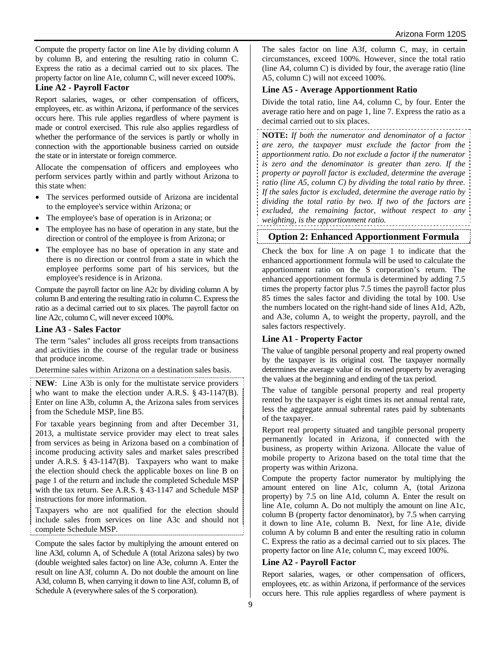Compute the property factor on line A1e by dividing column A by column B, and entering the resulting ratio in column C. Express the ratio as a decimal carried out to six places. The property factor on line A1e, column C, will never exceed 100%.

### **Line A2 - Payroll Factor**

Report salaries, wages, or other compensation of officers, employees, etc. as within Arizona, if performance of the services occurs here. This rule applies regardless of where payment is made or control exercised. This rule also applies regardless of whether the performance of the services is partly or wholly in connection with the apportionable business carried on outside the state or in interstate or foreign commerce.

Allocate the compensation of officers and employees who perform services partly within and partly without Arizona to this state when:

- The services performed outside of Arizona are incidental to the employee's service within Arizona; or
- The employee's base of operation is in Arizona; or
- The employee has no base of operation in any state, but the direction or control of the employee is from Arizona; or
- The employee has no base of operation in any state and there is no direction or control from a state in which the employee performs some part of his services, but the employee's residence is in Arizona.

Compute the payroll factor on line A2c by dividing column A by column B and entering the resulting ratio in column C. Express the ratio as a decimal carried out to six places. The payroll factor on line A2c, column C, will never exceed 100%.

#### **Line A3 - Sales Factor**

The term "sales" includes all gross receipts from transactions and activities in the course of the regular trade or business that produce income.

Determine sales within Arizona on a destination sales basis.

**NEW**: Line A3b is only for the multistate service providers who want to make the election under A.R.S. § 43-1147(B). Enter on line A3b, column A, the Arizona sales from services from the Schedule MSP, line B5.

For taxable years beginning from and after December 31, 2013, a multistate service provider may elect to treat sales from services as being in Arizona based on a combination of income producing activity sales and market sales prescribed under A.R.S. § 43-1147(B). Taxpayers who want to make the election should check the applicable boxes on line B on page 1 of the return and include the completed Schedule MSP with the tax return. See A.R.S. § 43-1147 and Schedule MSP instructions for more information.

Taxpayers who are not qualified for the election should include sales from services on line A3c and should not complete Schedule MSP.

Compute the sales factor by multiplying the amount entered on line A3d, column A, of Schedule A (total Arizona sales) by two (double weighted sales factor) on line A3e, column A. Enter the result on line A3f, column A. Do not double the amount on line A3d, column B, when carrying it down to line A3f, column B, of Schedule A (everywhere sales of the S corporation).

The sales factor on line A3f, column C, may, in certain circumstances, exceed 100%. However, since the total ratio (line A4, column C) is divided by four, the average ratio (line A5, column C) will not exceed 100%.

### **Line A5 - Average Apportionment Ratio**

Divide the total ratio, line A4, column C, by four. Enter the average ratio here and on page 1, line 7. Express the ratio as a decimal carried out to six places.

**NOTE:** *If both the numerator and denominator of a factor are zero, the taxpayer must exclude the factor from the apportionment ratio. Do not exclude a factor if the numerator is zero and the denominator is greater than zero. If the property or payroll factor is excluded, determine the average ratio (line A5, column C) by dividing the total ratio by three. If the sales factor is excluded, determine the average ratio by dividing the total ratio by two. If two of the factors are excluded, the remaining factor, without respect to any weighting, is the apportionment ratio.*

## **Option 2: Enhanced Apportionment Formula**

Check the box for line A on page 1 to indicate that the enhanced apportionment formula will be used to calculate the apportionment ratio on the S corporation's return. The enhanced apportionment formula is determined by adding 7.5 times the property factor plus 7.5 times the payroll factor plus 85 times the sales factor and dividing the total by 100. Use the numbers located on the right-hand side of lines A1d, A2b, and A3e, column A, to weight the property, payroll, and the sales factors respectively.

## **Line A1 - Property Factor**

The value of tangible personal property and real property owned by the taxpayer is its original cost. The taxpayer normally determines the average value of its owned property by averaging the values at the beginning and ending of the tax period.

The value of tangible personal property and real property rented by the taxpayer is eight times its net annual rental rate, less the aggregate annual subrental rates paid by subtenants of the taxpayer.

Report real property situated and tangible personal property permanently located in Arizona, if connected with the business, as property within Arizona. Allocate the value of mobile property to Arizona based on the total time that the property was within Arizona.

Compute the property factor numerator by multiplying the amount entered on line A1c, column A, (total Arizona property) by 7.5 on line A1d, column A. Enter the result on line A1e, column A. Do not multiply the amount on line A1c, column B (property factor denominator), by 7.5 when carrying it down to line A1e, column B. Next, for line A1e, divide column A by column B and enter the resulting ratio in column C. Express the ratio as a decimal carried out to six places. The property factor on line A1e, column C, may exceed 100%.

## **Line A2 - Payroll Factor**

Report salaries, wages, or other compensation of officers, employees, etc. as within Arizona, if performance of the services occurs here. This rule applies regardless of where payment is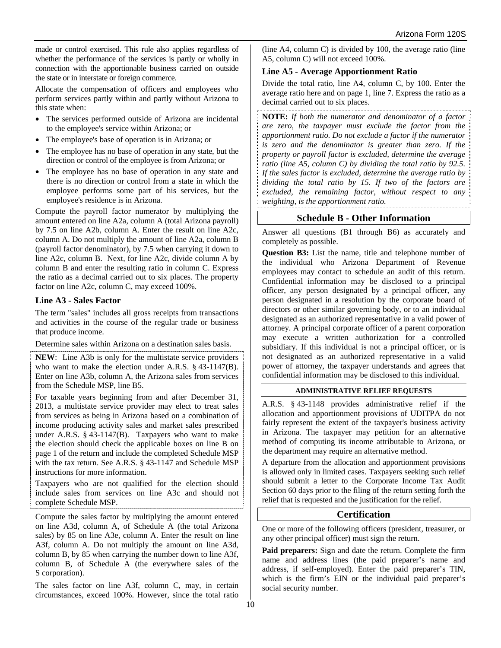made or control exercised. This rule also applies regardless of whether the performance of the services is partly or wholly in connection with the apportionable business carried on outside the state or in interstate or foreign commerce.

Allocate the compensation of officers and employees who perform services partly within and partly without Arizona to this state when:

- The services performed outside of Arizona are incidental to the employee's service within Arizona; or
- The employee's base of operation is in Arizona; or
- The employee has no base of operation in any state, but the direction or control of the employee is from Arizona; or
- The employee has no base of operation in any state and there is no direction or control from a state in which the employee performs some part of his services, but the employee's residence is in Arizona.

Compute the payroll factor numerator by multiplying the amount entered on line A2a, column A (total Arizona payroll) by 7.5 on line A2b, column A. Enter the result on line A2c, column A. Do not multiply the amount of line A2a, column B (payroll factor denominator), by 7.5 when carrying it down to line A2c, column B. Next, for line A2c, divide column A by column B and enter the resulting ratio in column C. Express the ratio as a decimal carried out to six places. The property factor on line A2c, column C, may exceed 100%.

## **Line A3 - Sales Factor**

The term "sales" includes all gross receipts from transactions and activities in the course of the regular trade or business that produce income.

Determine sales within Arizona on a destination sales basis.

**NEW**: Line A3b is only for the multistate service providers who want to make the election under A.R.S. § 43-1147(B). Enter on line A3b, column A, the Arizona sales from services from the Schedule MSP, line B5.

For taxable years beginning from and after December 31, 2013, a multistate service provider may elect to treat sales from services as being in Arizona based on a combination of income producing activity sales and market sales prescribed under A.R.S. § 43-1147(B). Taxpayers who want to make the election should check the applicable boxes on line B on page 1 of the return and include the completed Schedule MSP with the tax return. See A.R.S. § 43-1147 and Schedule MSP instructions for more information.

Taxpayers who are not qualified for the election should include sales from services on line A3c and should not complete Schedule MSP.

Compute the sales factor by multiplying the amount entered on line A3d, column A, of Schedule A (the total Arizona sales) by 85 on line A3e, column A. Enter the result on line A3f, column A. Do not multiply the amount on line A3d, column B, by 85 when carrying the number down to line A3f, column B, of Schedule A (the everywhere sales of the S corporation).

The sales factor on line A3f, column C, may, in certain circumstances, exceed 100%. However, since the total ratio (line A4, column C) is divided by 100, the average ratio (line A5, column C) will not exceed 100%.

## **Line A5 - Average Apportionment Ratio**

Divide the total ratio, line A4, column C, by 100. Enter the average ratio here and on page 1, line 7. Express the ratio as a decimal carried out to six places.

**NOTE:** *If both the numerator and denominator of a factor are zero, the taxpayer must exclude the factor from the apportionment ratio. Do not exclude a factor if the numerator is zero and the denominator is greater than zero. If the property or payroll factor is excluded, determine the average ratio (line A5, column C) by dividing the total ratio by 92.5. If the sales factor is excluded, determine the average ratio by dividing the total ratio by 15. If two of the factors are excluded, the remaining factor, without respect to any weighting, is the apportionment ratio.*

## **Schedule B - Other Information**

Answer all questions (B1 through B6) as accurately and completely as possible.

**Question B3:** List the name, title and telephone number of the individual who Arizona Department of Revenue employees may contact to schedule an audit of this return. Confidential information may be disclosed to a principal officer, any person designated by a principal officer, any person designated in a resolution by the corporate board of directors or other similar governing body, or to an individual designated as an authorized representative in a valid power of attorney. A principal corporate officer of a parent corporation may execute a written authorization for a controlled subsidiary. If this individual is not a principal officer, or is not designated as an authorized representative in a valid power of attorney, the taxpayer understands and agrees that confidential information may be disclosed to this individual.

## **ADMINISTRATIVE RELIEF REQUESTS**

A.R.S. § 43-1148 provides administrative relief if the allocation and apportionment provisions of UDITPA do not fairly represent the extent of the taxpayer's business activity in Arizona. The taxpayer may petition for an alternative method of computing its income attributable to Arizona, or the department may require an alternative method.

A departure from the allocation and apportionment provisions is allowed only in limited cases. Taxpayers seeking such relief should submit a letter to the Corporate Income Tax Audit Section 60 days prior to the filing of the return setting forth the relief that is requested and the justification for the relief.

## **Certification**

One or more of the following officers (president, treasurer, or any other principal officer) must sign the return.

**Paid preparers:** Sign and date the return. Complete the firm name and address lines (the paid preparer's name and address, if self-employed). Enter the paid preparer's TIN, which is the firm's EIN or the individual paid preparer's social security number.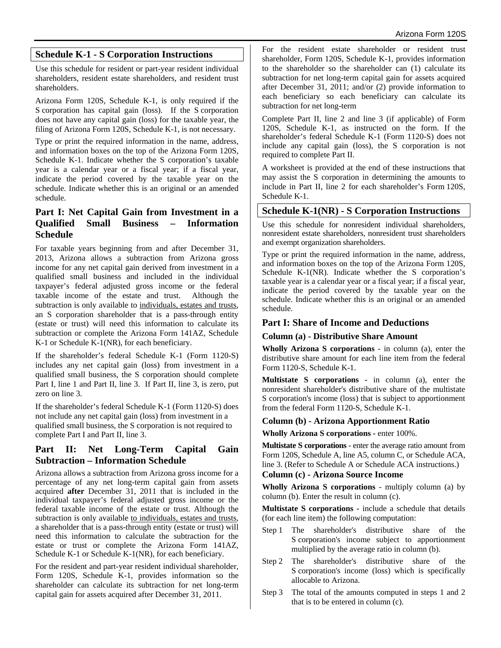## **Schedule K-1 - S Corporation Instructions**

Use this schedule for resident or part-year resident individual shareholders, resident estate shareholders, and resident trust shareholders.

Arizona Form 120S, Schedule K-1, is only required if the S corporation has capital gain (loss). If the S corporation does not have any capital gain (loss) for the taxable year, the filing of Arizona Form 120S, Schedule K-1, is not necessary.

Type or print the required information in the name, address, and information boxes on the top of the Arizona Form 120S, Schedule K-1. Indicate whether the S corporation's taxable year is a calendar year or a fiscal year; if a fiscal year, indicate the period covered by the taxable year on the schedule. Indicate whether this is an original or an amended schedule.

## **Part I: Net Capital Gain from Investment in a Qualified Small Business – Information Schedule**

For taxable years beginning from and after December 31, 2013, Arizona allows a subtraction from Arizona gross income for any net capital gain derived from investment in a qualified small business and included in the individual taxpayer's federal adjusted gross income or the federal taxable income of the estate and trust. Although the subtraction is only available to individuals, estates and trusts, an S corporation shareholder that is a pass-through entity (estate or trust) will need this information to calculate its subtraction or complete the Arizona Form 141AZ, Schedule K-1 or Schedule K-1(NR), for each beneficiary.

If the shareholder's federal Schedule K-1 (Form 1120-S) includes any net capital gain (loss) from investment in a qualified small business, the S corporation should complete Part I, line 1 and Part II, line 3. If Part II, line 3, is zero, put zero on line 3.

If the shareholder's federal Schedule K-1 (Form 1120-S) does not include any net capital gain (loss) from investment in a qualified small business, the S corporation is not required to complete Part I and Part II, line 3.

## **Part II: Net Long-Term Capital Gain Subtraction – Information Schedule**

Arizona allows a subtraction from Arizona gross income for a percentage of any net long-term capital gain from assets acquired **after** December 31, 2011 that is included in the individual taxpayer's federal adjusted gross income or the federal taxable income of the estate or trust. Although the subtraction is only available to individuals, estates and trusts, a shareholder that is a pass-through entity (estate or trust) will need this information to calculate the subtraction for the estate or trust or complete the Arizona Form 141AZ, Schedule K-1 or Schedule K-1(NR), for each beneficiary.

For the resident and part-year resident individual shareholder, Form 120S, Schedule K-1, provides information so the shareholder can calculate its subtraction for net long-term capital gain for assets acquired after December 31, 2011.

For the resident estate shareholder or resident trust shareholder, Form 120S, Schedule K-1, provides information to the shareholder so the shareholder can (1) calculate its subtraction for net long-term capital gain for assets acquired after December 31, 2011; and/or (2) provide information to each beneficiary so each beneficiary can calculate its subtraction for net long-term

Complete Part II, line 2 and line 3 (if applicable) of Form 120S, Schedule K-1, as instructed on the form. If the shareholder's federal Schedule K-1 (Form 1120-S) does not include any capital gain (loss), the S corporation is not required to complete Part II.

A worksheet is provided at the end of these instructions that may assist the S corporation in determining the amounts to include in Part II, line 2 for each shareholder's Form 120S, Schedule K-1.

## **Schedule K-1(NR) - S Corporation Instructions**

Use this schedule for nonresident individual shareholders, nonresident estate shareholders, nonresident trust shareholders and exempt organization shareholders.

Type or print the required information in the name, address, and information boxes on the top of the Arizona Form 120S, Schedule K-1(NR). Indicate whether the S corporation's taxable year is a calendar year or a fiscal year; if a fiscal year, indicate the period covered by the taxable year on the schedule. Indicate whether this is an original or an amended schedule.

## **Part I: Share of Income and Deductions**

## **Column (a) - Distributive Share Amount**

**Wholly Arizona S corporations** - in column (a), enter the distributive share amount for each line item from the federal Form 1120-S, Schedule K-1.

**Multistate S corporations -** in column (a), enter the nonresident shareholder's distributive share of the multistate S corporation's income (loss) that is subject to apportionment from the federal Form 1120-S, Schedule K-1.

## **Column (b) - Arizona Apportionment Ratio**

**Wholly Arizona S corporations -** enter 100%.

**Multistate S corporations** - enter the average ratio amount from Form 120S, Schedule A, line A5, column C, or Schedule ACA, line 3. (Refer to Schedule A or Schedule ACA instructions.)

## **Column (c) - Arizona Source Income**

**Wholly Arizona S corporations** - multiply column (a) by column (b). Enter the result in column (c).

**Multistate S corporations -** include a schedule that details (for each line item) the following computation:

- Step 1 The shareholder's distributive share of the S corporation's income subject to apportionment multiplied by the average ratio in column (b).
- Step 2 The shareholder's distributive share of the S corporation's income (loss) which is specifically allocable to Arizona.
- Step 3 The total of the amounts computed in steps 1 and 2 that is to be entered in column (c).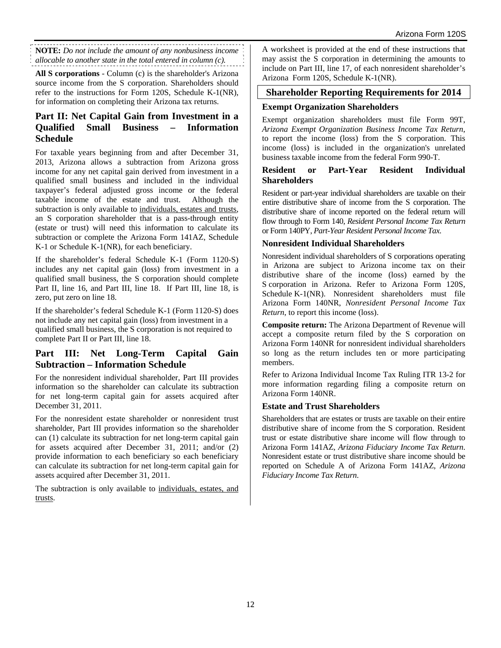**NOTE:** *Do not include the amount of any nonbusiness income allocable to another state in the total entered in column (c).*

**All S corporations** - Column (c) is the shareholder's Arizona source income from the S corporation. Shareholders should refer to the instructions for Form 120S, Schedule K-1(NR), for information on completing their Arizona tax returns.

## **Part II: Net Capital Gain from Investment in a Qualified Small Business – Information Schedule**

For taxable years beginning from and after December 31, 2013, Arizona allows a subtraction from Arizona gross income for any net capital gain derived from investment in a qualified small business and included in the individual taxpayer's federal adjusted gross income or the federal taxable income of the estate and trust. Although the subtraction is only available to individuals, estates and trusts, an S corporation shareholder that is a pass-through entity (estate or trust) will need this information to calculate its subtraction or complete the Arizona Form 141AZ, Schedule K-1 or Schedule K-1(NR), for each beneficiary.

If the shareholder's federal Schedule K-1 (Form 1120-S) includes any net capital gain (loss) from investment in a qualified small business, the S corporation should complete Part II, line 16, and Part III, line 18. If Part III, line 18, is zero, put zero on line 18.

If the shareholder's federal Schedule K-1 (Form 1120-S) does not include any net capital gain (loss) from investment in a qualified small business, the S corporation is not required to complete Part II or Part III, line 18.

## **Part III: Net Long-Term Capital Gain Subtraction – Information Schedule**

For the nonresident individual shareholder, Part III provides information so the shareholder can calculate its subtraction for net long-term capital gain for assets acquired after December 31, 2011.

For the nonresident estate shareholder or nonresident trust shareholder, Part III provides information so the shareholder can (1) calculate its subtraction for net long-term capital gain for assets acquired after December 31, 2011; and/or (2) provide information to each beneficiary so each beneficiary can calculate its subtraction for net long-term capital gain for assets acquired after December 31, 2011.

The subtraction is only available to individuals, estates, and trusts.

A worksheet is provided at the end of these instructions that may assist the S corporation in determining the amounts to include on Part III, line 17, of each nonresident shareholder's Arizona Form 120S, Schedule K-1(NR).

## **Shareholder Reporting Requirements for 2014**

## **Exempt Organization Shareholders**

Exempt organization shareholders must file Form 99T, *Arizona Exempt Organization Business Income Tax Return*, to report the income (loss) from the S corporation. This income (loss) is included in the organization's unrelated business taxable income from the federal Form 990-T.

### **Resident or Part-Year Resident Individual Shareholders**

Resident or part-year individual shareholders are taxable on their entire distributive share of income from the S corporation. The distributive share of income reported on the federal return will flow through to Form 140, *Resident Personal Income Tax Return*  or Form 140PY, *Part-Year Resident Personal Income Tax*.

## **Nonresident Individual Shareholders**

Nonresident individual shareholders of S corporations operating in Arizona are subject to Arizona income tax on their distributive share of the income (loss) earned by the S corporation in Arizona. Refer to Arizona Form 120S, Schedule K-1(NR). Nonresident shareholders must file Arizona Form 140NR, *Nonresident Personal Income Tax Return*, to report this income (loss).

**Composite return:** The Arizona Department of Revenue will accept a composite return filed by the S corporation on Arizona Form 140NR for nonresident individual shareholders so long as the return includes ten or more participating members.

Refer to Arizona Individual Income Tax Ruling ITR 13-2 for more information regarding filing a composite return on Arizona Form 140NR.

## **Estate and Trust Shareholders**

Shareholders that are estates or trusts are taxable on their entire distributive share of income from the S corporation. Resident trust or estate distributive share income will flow through to Arizona Form 141AZ, *Arizona Fiduciary Income Tax Return*. Nonresident estate or trust distributive share income should be reported on Schedule A of Arizona Form 141AZ, *Arizona Fiduciary Income Tax Return*.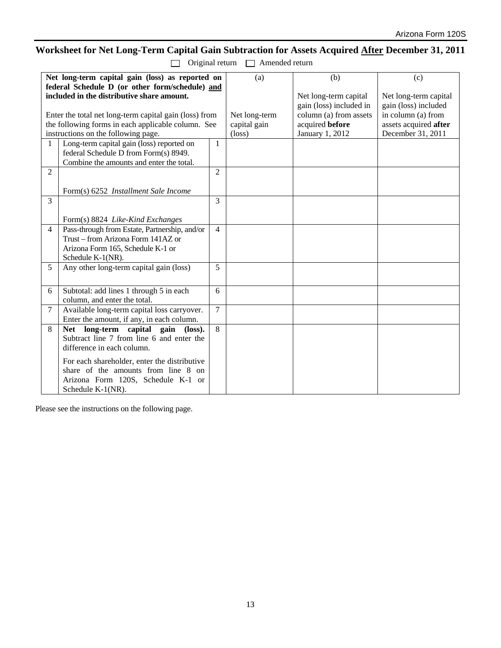# **Worksheet for Net Long-Term Capital Gain Subtraction for Assets Acquired After December 31, 2011**

| Original return | □ Amended return |
|-----------------|------------------|
|                 |                  |

| 1              | Net long-term capital gain (loss) as reported on<br>federal Schedule D (or other form/schedule) and<br>included in the distributive share amount.<br>Enter the total net long-term capital gain (loss) from<br>the following forms in each applicable column. See<br>instructions on the following page.<br>Long-term capital gain (loss) reported on<br>federal Schedule D from Form(s) 8949. | 1              | (a)<br>Net long-term<br>capital gain<br>$(\text{loss})$ | (b)<br>Net long-term capital<br>gain (loss) included in<br>column (a) from assets<br>acquired before<br>January 1, 2012 | (c)<br>Net long-term capital<br>gain (loss) included<br>in column (a) from<br>assets acquired after<br>December 31, 2011 |
|----------------|------------------------------------------------------------------------------------------------------------------------------------------------------------------------------------------------------------------------------------------------------------------------------------------------------------------------------------------------------------------------------------------------|----------------|---------------------------------------------------------|-------------------------------------------------------------------------------------------------------------------------|--------------------------------------------------------------------------------------------------------------------------|
|                | Combine the amounts and enter the total.                                                                                                                                                                                                                                                                                                                                                       |                |                                                         |                                                                                                                         |                                                                                                                          |
| $\overline{2}$ |                                                                                                                                                                                                                                                                                                                                                                                                | $\overline{2}$ |                                                         |                                                                                                                         |                                                                                                                          |
|                | Form(s) 6252 <i>Installment Sale Income</i>                                                                                                                                                                                                                                                                                                                                                    |                |                                                         |                                                                                                                         |                                                                                                                          |
| 3              |                                                                                                                                                                                                                                                                                                                                                                                                | 3              |                                                         |                                                                                                                         |                                                                                                                          |
|                | Form(s) 8824 Like-Kind Exchanges                                                                                                                                                                                                                                                                                                                                                               |                |                                                         |                                                                                                                         |                                                                                                                          |
| $\overline{4}$ | Pass-through from Estate, Partnership, and/or                                                                                                                                                                                                                                                                                                                                                  | $\overline{4}$ |                                                         |                                                                                                                         |                                                                                                                          |
|                | Trust – from Arizona Form 141AZ or                                                                                                                                                                                                                                                                                                                                                             |                |                                                         |                                                                                                                         |                                                                                                                          |
|                | Arizona Form 165, Schedule K-1 or<br>Schedule K-1(NR).                                                                                                                                                                                                                                                                                                                                         |                |                                                         |                                                                                                                         |                                                                                                                          |
| 5              | Any other long-term capital gain (loss)                                                                                                                                                                                                                                                                                                                                                        | 5              |                                                         |                                                                                                                         |                                                                                                                          |
| 6              | Subtotal: add lines 1 through 5 in each<br>column, and enter the total.                                                                                                                                                                                                                                                                                                                        | 6              |                                                         |                                                                                                                         |                                                                                                                          |
| $\tau$         | Available long-term capital loss carryover.<br>Enter the amount, if any, in each column.                                                                                                                                                                                                                                                                                                       | $\tau$         |                                                         |                                                                                                                         |                                                                                                                          |
| 8              | Net long-term capital gain (loss).                                                                                                                                                                                                                                                                                                                                                             | 8              |                                                         |                                                                                                                         |                                                                                                                          |
|                | Subtract line 7 from line 6 and enter the                                                                                                                                                                                                                                                                                                                                                      |                |                                                         |                                                                                                                         |                                                                                                                          |
|                | difference in each column.                                                                                                                                                                                                                                                                                                                                                                     |                |                                                         |                                                                                                                         |                                                                                                                          |
|                | For each shareholder, enter the distributive                                                                                                                                                                                                                                                                                                                                                   |                |                                                         |                                                                                                                         |                                                                                                                          |
|                | share of the amounts from line 8 on<br>Arizona Form 120S, Schedule K-1 or                                                                                                                                                                                                                                                                                                                      |                |                                                         |                                                                                                                         |                                                                                                                          |
|                | Schedule K-1(NR).                                                                                                                                                                                                                                                                                                                                                                              |                |                                                         |                                                                                                                         |                                                                                                                          |

Please see the instructions on the following page.